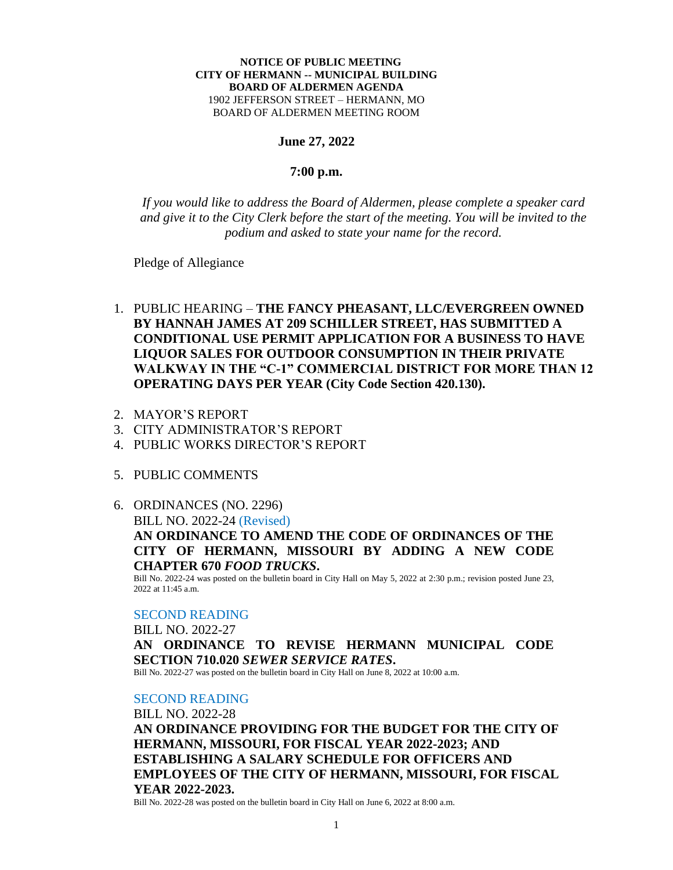#### **NOTICE OF PUBLIC MEETING CITY OF HERMANN -- MUNICIPAL BUILDING BOARD OF ALDERMEN AGENDA** 1902 JEFFERSON STREET – HERMANN, MO BOARD OF ALDERMEN MEETING ROOM

### **June 27, 2022**

### **7:00 p.m.**

*If you would like to address the Board of Aldermen, please complete a speaker card and give it to the City Clerk before the start of the meeting. You will be invited to the podium and asked to state your name for the record.*

Pledge of Allegiance

- 1. PUBLIC HEARING **THE FANCY PHEASANT, LLC/EVERGREEN OWNED BY HANNAH JAMES AT 209 SCHILLER STREET, HAS SUBMITTED A CONDITIONAL USE PERMIT APPLICATION FOR A BUSINESS TO HAVE LIQUOR SALES FOR OUTDOOR CONSUMPTION IN THEIR PRIVATE WALKWAY IN THE "C-1" COMMERCIAL DISTRICT FOR MORE THAN 12 OPERATING DAYS PER YEAR (City Code Section 420.130).**
- 2. MAYOR'S REPORT
- 3. CITY ADMINISTRATOR'S REPORT
- 4. PUBLIC WORKS DIRECTOR'S REPORT
- 5. PUBLIC COMMENTS
- 6. ORDINANCES (NO. 2296)

BILL NO. 2022-24 (Revised)

## **AN ORDINANCE TO AMEND THE CODE OF ORDINANCES OF THE CITY OF HERMANN, MISSOURI BY ADDING A NEW CODE CHAPTER 670** *FOOD TRUCKS***.**

Bill No. 2022-24 was posted on the bulletin board in City Hall on May 5, 2022 at 2:30 p.m.; revision posted June 23, 2022 at 11:45 a.m.

### SECOND READING

BILL NO. 2022-27

### **AN ORDINANCE TO REVISE HERMANN MUNICIPAL CODE SECTION 710.020** *SEWER SERVICE RATES***.**

Bill No. 2022-27 was posted on the bulletin board in City Hall on June 8, 2022 at 10:00 a.m.

### SECOND READING

BILL NO. 2022-28 **AN ORDINANCE PROVIDING FOR THE BUDGET FOR THE CITY OF HERMANN, MISSOURI, FOR FISCAL YEAR 2022-2023; AND ESTABLISHING A SALARY SCHEDULE FOR OFFICERS AND EMPLOYEES OF THE CITY OF HERMANN, MISSOURI, FOR FISCAL YEAR 2022-2023.**

Bill No. 2022-28 was posted on the bulletin board in City Hall on June 6, 2022 at 8:00 a.m.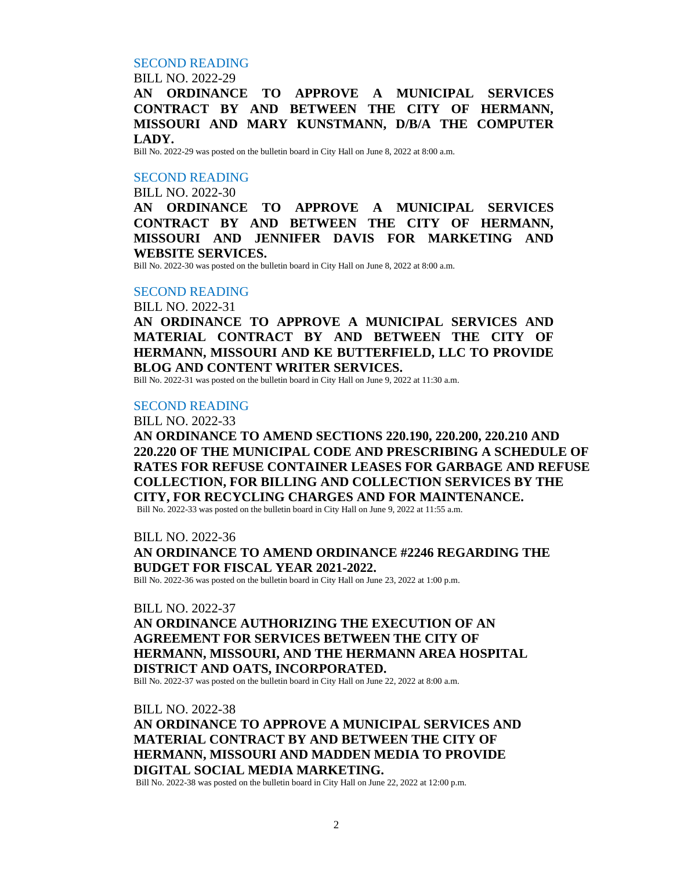## SECOND READING

BILL NO. 2022-29

**AN ORDINANCE TO APPROVE A MUNICIPAL SERVICES CONTRACT BY AND BETWEEN THE CITY OF HERMANN, MISSOURI AND MARY KUNSTMANN, D/B/A THE COMPUTER LADY.** 

Bill No. 2022-29 was posted on the bulletin board in City Hall on June 8, 2022 at 8:00 a.m.

#### SECOND READING

BILL NO. 2022-30

**AN ORDINANCE TO APPROVE A MUNICIPAL SERVICES CONTRACT BY AND BETWEEN THE CITY OF HERMANN, MISSOURI AND JENNIFER DAVIS FOR MARKETING AND WEBSITE SERVICES.** 

Bill No. 2022-30 was posted on the bulletin board in City Hall on June 8, 2022 at 8:00 a.m.

### SECOND READING

BILL NO. 2022-31

**AN ORDINANCE TO APPROVE A MUNICIPAL SERVICES AND MATERIAL CONTRACT BY AND BETWEEN THE CITY OF HERMANN, MISSOURI AND KE BUTTERFIELD, LLC TO PROVIDE BLOG AND CONTENT WRITER SERVICES.**

Bill No. 2022-31 was posted on the bulletin board in City Hall on June 9, 2022 at 11:30 a.m.

### SECOND READING

BILL NO. 2022-33

**AN ORDINANCE TO AMEND SECTIONS 220.190, 220.200, 220.210 AND 220.220 OF THE MUNICIPAL CODE AND PRESCRIBING A SCHEDULE OF RATES FOR REFUSE CONTAINER LEASES FOR GARBAGE AND REFUSE COLLECTION, FOR BILLING AND COLLECTION SERVICES BY THE CITY, FOR RECYCLING CHARGES AND FOR MAINTENANCE.**  Bill No. 2022-33 was posted on the bulletin board in City Hall on June 9, 2022 at 11:55 a.m.

BILL NO. 2022-36 **AN ORDINANCE TO AMEND ORDINANCE #2246 REGARDING THE BUDGET FOR FISCAL YEAR 2021-2022.**

Bill No. 2022-36 was posted on the bulletin board in City Hall on June 23, 2022 at 1:00 p.m.

#### BILL NO. 2022-37

**AN ORDINANCE AUTHORIZING THE EXECUTION OF AN AGREEMENT FOR SERVICES BETWEEN THE CITY OF HERMANN, MISSOURI, AND THE HERMANN AREA HOSPITAL DISTRICT AND OATS, INCORPORATED.**

Bill No. 2022-37 was posted on the bulletin board in City Hall on June 22, 2022 at 8:00 a.m.

#### BILL NO. 2022-38

**AN ORDINANCE TO APPROVE A MUNICIPAL SERVICES AND MATERIAL CONTRACT BY AND BETWEEN THE CITY OF HERMANN, MISSOURI AND MADDEN MEDIA TO PROVIDE DIGITAL SOCIAL MEDIA MARKETING.**

Bill No. 2022-38 was posted on the bulletin board in City Hall on June 22, 2022 at 12:00 p.m.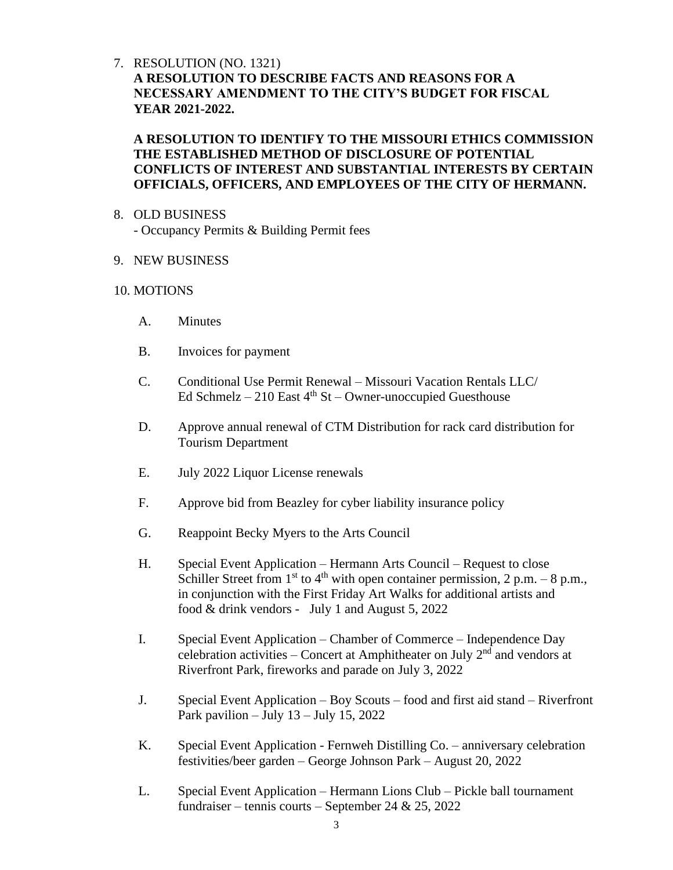## 7. RESOLUTION (NO. 1321)

# **A RESOLUTION TO DESCRIBE FACTS AND REASONS FOR A NECESSARY AMENDMENT TO THE CITY'S BUDGET FOR FISCAL YEAR 2021-2022.**

## **A RESOLUTION TO IDENTIFY TO THE MISSOURI ETHICS COMMISSION THE ESTABLISHED METHOD OF DISCLOSURE OF POTENTIAL CONFLICTS OF INTEREST AND SUBSTANTIAL INTERESTS BY CERTAIN OFFICIALS, OFFICERS, AND EMPLOYEES OF THE CITY OF HERMANN.**

8. OLD BUSINESS - Occupancy Permits & Building Permit fees

## 9. NEW BUSINESS

## 10. MOTIONS

- A. Minutes
- B. Invoices for payment
- C. Conditional Use Permit Renewal Missouri Vacation Rentals LLC/ Ed Schmelz – 210 East  $4<sup>th</sup>$  St – Owner-unoccupied Guesthouse
- D. Approve annual renewal of CTM Distribution for rack card distribution for Tourism Department
- E. July 2022 Liquor License renewals
- F. Approve bid from Beazley for cyber liability insurance policy
- G. Reappoint Becky Myers to the Arts Council
- H. Special Event Application Hermann Arts Council Request to close Schiller Street from  $1<sup>st</sup>$  to  $4<sup>th</sup>$  with open container permission, 2 p.m. – 8 p.m., in conjunction with the First Friday Art Walks for additional artists and food & drink vendors - July 1 and August 5, 2022
- I. Special Event Application Chamber of Commerce Independence Day celebration activities – Concert at Amphitheater on July  $2<sup>nd</sup>$  and vendors at Riverfront Park, fireworks and parade on July 3, 2022
- J. Special Event Application Boy Scouts food and first aid stand Riverfront Park pavilion – July  $13$  – July  $15, 2022$
- K. Special Event Application Fernweh Distilling Co. anniversary celebration festivities/beer garden – George Johnson Park – August 20, 2022
- L. Special Event Application Hermann Lions Club Pickle ball tournament fundraiser – tennis courts – September 24 & 25, 2022